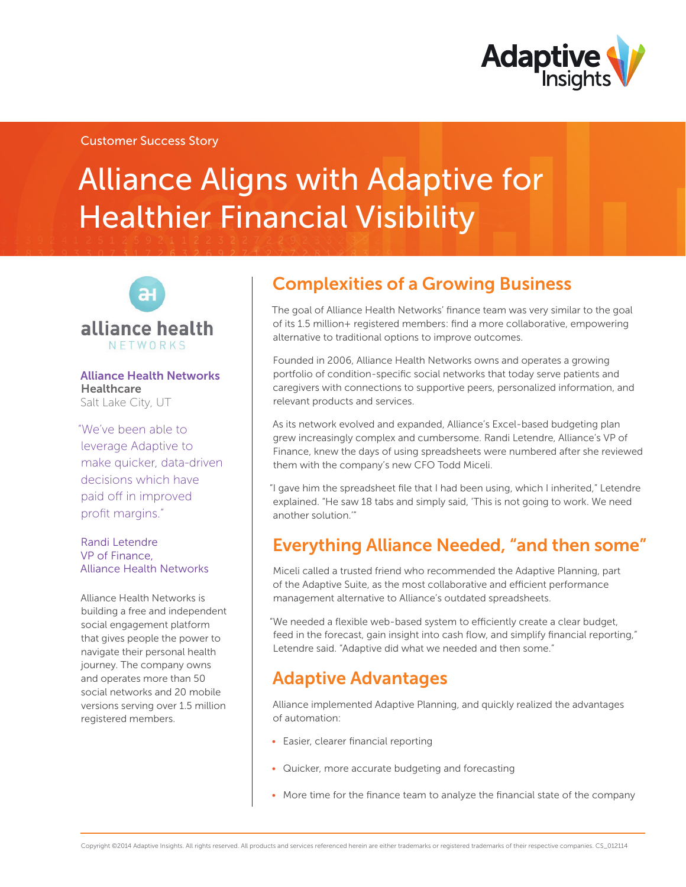

### Customer Success Story

# Alliance Aligns with Adaptive for Healthier Financial Visibility



#### Alliance Health Networks **Healthcare** Salt Lake City, UT

"We've been able to leverage Adaptive to make quicker, data-driven decisions which have paid off in improved profit margins."

#### Randi Letendre VP of Finance, Alliance Health Networks

Alliance Health Networks is building a free and independent social engagement platform that gives people the power to navigate their personal health journey. The company owns and operates more than 50 social networks and 20 mobile versions serving over 1.5 million registered members.

# Complexities of a Growing Business

The goal of Alliance Health Networks' finance team was very similar to the goal of its 1.5 million+ registered members: find a more collaborative, empowering alternative to traditional options to improve outcomes.

Founded in 2006, Alliance Health Networks owns and operates a growing portfolio of condition-specific social networks that today serve patients and caregivers with connections to supportive peers, personalized information, and relevant products and services.

As its network evolved and expanded, Alliance's Excel-based budgeting plan grew increasingly complex and cumbersome. Randi Letendre, Alliance's VP of Finance, knew the days of using spreadsheets were numbered after she reviewed them with the company's new CFO Todd Miceli.

"I gave him the spreadsheet file that I had been using, which I inherited," Letendre explained. "He saw 18 tabs and simply said, 'This is not going to work. We need another solution.'"

## Everything Alliance Needed, "and then some"

Miceli called a trusted friend who recommended the Adaptive Planning, part of the Adaptive Suite, as the most collaborative and efficient performance management alternative to Alliance's outdated spreadsheets.

"We needed a flexible web-based system to efficiently create a clear budget, feed in the forecast, gain insight into cash flow, and simplify financial reporting," Letendre said. "Adaptive did what we needed and then some."

## Adaptive Advantages

Alliance implemented Adaptive Planning, and quickly realized the advantages of automation:

- Easier, clearer financial reporting
- Quicker, more accurate budgeting and forecasting
- More time for the finance team to analyze the financial state of the company